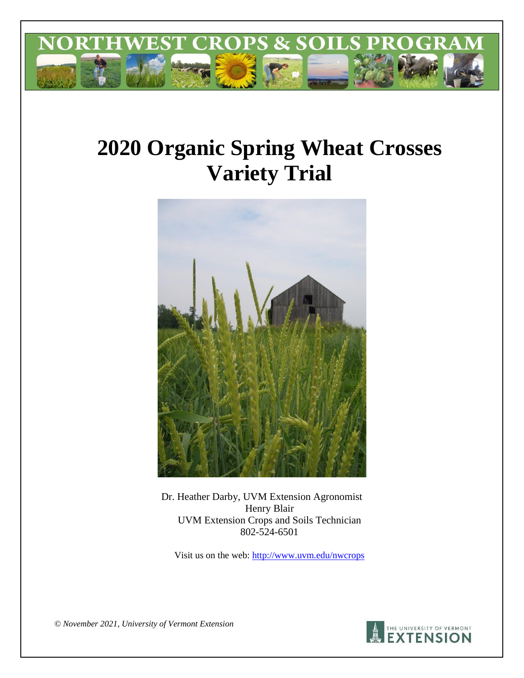

# **2020 Organic Spring Wheat Crosses Variety Trial**



Dr. Heather Darby, UVM Extension Agronomist Henry Blair UVM Extension Crops and Soils Technician 802-524-6501

Visit us on the web:<http://www.uvm.edu/nwcrops>

*© November 2021, University of Vermont Extension* 

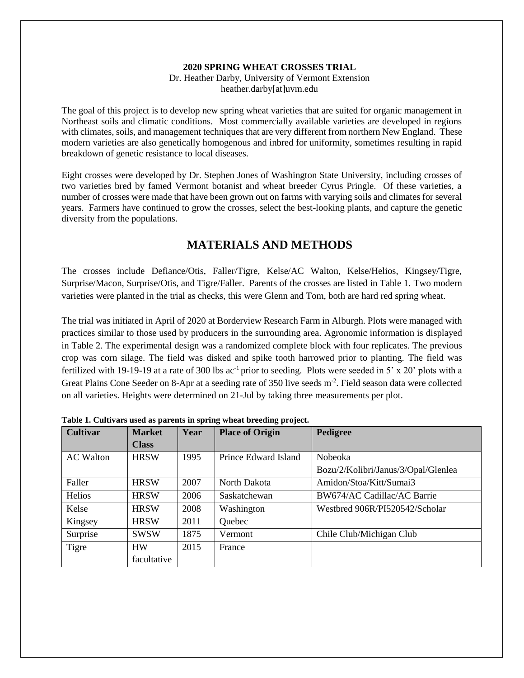#### **2020 SPRING WHEAT CROSSES TRIAL**

Dr. Heather Darby, University of Vermont Extension heather.darby[at]uvm.edu

The goal of this project is to develop new spring wheat varieties that are suited for organic management in Northeast soils and climatic conditions. Most commercially available varieties are developed in regions with climates, soils, and management techniques that are very different from northern New England. These modern varieties are also genetically homogenous and inbred for uniformity, sometimes resulting in rapid breakdown of genetic resistance to local diseases.

Eight crosses were developed by Dr. Stephen Jones of Washington State University, including crosses of two varieties bred by famed Vermont botanist and wheat breeder Cyrus Pringle. Of these varieties, a number of crosses were made that have been grown out on farms with varying soils and climates for several years. Farmers have continued to grow the crosses, select the best-looking plants, and capture the genetic diversity from the populations.

## **MATERIALS AND METHODS**

The crosses include Defiance/Otis, Faller/Tigre, Kelse/AC Walton, Kelse/Helios, Kingsey/Tigre, Surprise/Macon, Surprise/Otis, and Tigre/Faller. Parents of the crosses are listed in Table 1. Two modern varieties were planted in the trial as checks, this were Glenn and Tom, both are hard red spring wheat.

The trial was initiated in April of 2020 at Borderview Research Farm in Alburgh. Plots were managed with practices similar to those used by producers in the surrounding area. Agronomic information is displayed in Table 2. The experimental design was a randomized complete block with four replicates. The previous crop was corn silage. The field was disked and spike tooth harrowed prior to planting. The field was fertilized with 19-19-19 at a rate of 300 lbs  $ac^{-1}$  prior to seeding. Plots were seeded in 5' x 20' plots with a Great Plains Cone Seeder on 8-Apr at a seeding rate of 350 live seeds m<sup>-2</sup>. Field season data were collected on all varieties. Heights were determined on 21-Jul by taking three measurements per plot.

| <b>Cultivar</b>  | <b>Market</b> | Year | <b>Place of Origin</b> | Pedigree                            |
|------------------|---------------|------|------------------------|-------------------------------------|
|                  | <b>Class</b>  |      |                        |                                     |
| <b>AC</b> Walton | <b>HRSW</b>   | 1995 | Prince Edward Island   | Nobeoka                             |
|                  |               |      |                        | Bozu/2/Kolibri/Janus/3/Opal/Glenlea |
| Faller           | <b>HRSW</b>   | 2007 | North Dakota           | Amidon/Stoa/Kitt/Sumai3             |
| Helios           | <b>HRSW</b>   | 2006 | Saskatchewan           | BW674/AC Cadillac/AC Barrie         |
| Kelse            | <b>HRSW</b>   | 2008 | Washington             | Westbred 906R/PI520542/Scholar      |
| Kingsey          | <b>HRSW</b>   | 2011 | Quebec                 |                                     |
| Surprise         | <b>SWSW</b>   | 1875 | Vermont                | Chile Club/Michigan Club            |
| Tigre            | <b>HW</b>     | 2015 | France                 |                                     |
|                  | facultative   |      |                        |                                     |

**Table 1. Cultivars used as parents in spring wheat breeding project.**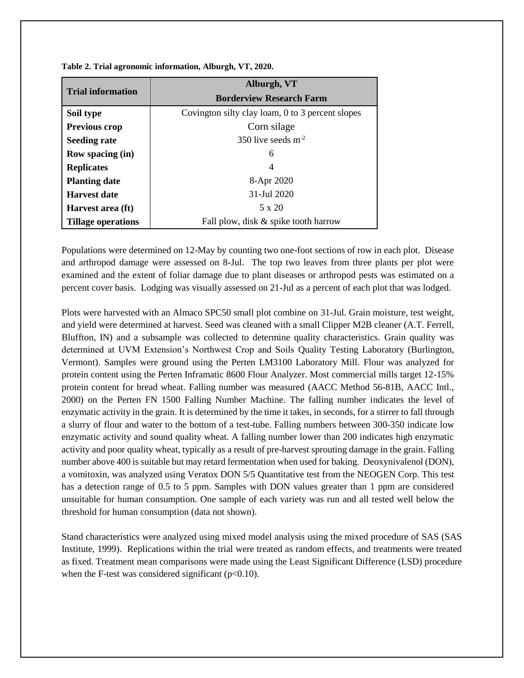|                           | Alburgh, VT                                      |  |  |  |  |
|---------------------------|--------------------------------------------------|--|--|--|--|
| <b>Trial information</b>  | <b>Borderview Research Farm</b>                  |  |  |  |  |
| Soil type                 | Covington silty clay loam, 0 to 3 percent slopes |  |  |  |  |
| <b>Previous crop</b>      | Corn silage                                      |  |  |  |  |
| <b>Seeding rate</b>       | 350 live seeds $m-2$                             |  |  |  |  |
| <b>Row spacing (in)</b>   | 6                                                |  |  |  |  |
| <b>Replicates</b>         | 4                                                |  |  |  |  |
| <b>Planting date</b>      | 8-Apr 2020                                       |  |  |  |  |
| <b>Harvest date</b>       | 31-Jul 2020                                      |  |  |  |  |
| Harvest area (ft)         | 5 x 20                                           |  |  |  |  |
| <b>Tillage operations</b> | Fall plow, disk & spike tooth harrow             |  |  |  |  |

**Table 2. Trial agronomic information, Alburgh, VT, 2020.**

Populations were determined on 12-May by counting two one-foot sections of row in each plot. Disease and arthropod damage were assessed on 8-Jul. The top two leaves from three plants per plot were examined and the extent of foliar damage due to plant diseases or arthropod pests was estimated on a percent cover basis. Lodging was visually assessed on 21-Jul as a percent of each plot that was lodged.

Plots were harvested with an Almaco SPC50 small plot combine on 31-Jul. Grain moisture, test weight, and yield were determined at harvest. Seed was cleaned with a small Clipper M2B cleaner (A.T. Ferrell, Bluffton, IN) and a subsample was collected to determine quality characteristics. Grain quality was determined at UVM Extension's Northwest Crop and Soils Quality Testing Laboratory (Burlington, Vermont). Samples were ground using the Perten LM3100 Laboratory Mill. Flour was analyzed for protein content using the Perten Inframatic 8600 Flour Analyzer. Most commercial mills target 12-15% protein content for bread wheat. Falling number was measured (AACC Method 56-81B, AACC Intl., 2000) on the Perten FN 1500 Falling Number Machine. The falling number indicates the level of enzymatic activity in the grain. It is determined by the time it takes, in seconds, for a stirrer to fall through a slurry of flour and water to the bottom of a test-tube. Falling numbers between 300-350 indicate low enzymatic activity and sound quality wheat. A falling number lower than 200 indicates high enzymatic activity and poor quality wheat, typically as a result of pre-harvest sprouting damage in the grain. Falling number above 400 is suitable but may retard fermentation when used for baking. Deoxynivalenol (DON), a vomitoxin, was analyzed using Veratox DON 5/5 Quantitative test from the NEOGEN Corp. This test has a detection range of 0.5 to 5 ppm. Samples with DON values greater than 1 ppm are considered unsuitable for human consumption. One sample of each variety was run and all tested well below the threshold for human consumption (data not shown).

Stand characteristics were analyzed using mixed model analysis using the mixed procedure of SAS (SAS Institute, 1999). Replications within the trial were treated as random effects, and treatments were treated as fixed. Treatment mean comparisons were made using the Least Significant Difference (LSD) procedure when the F-test was considered significant ( $p<0.10$ ).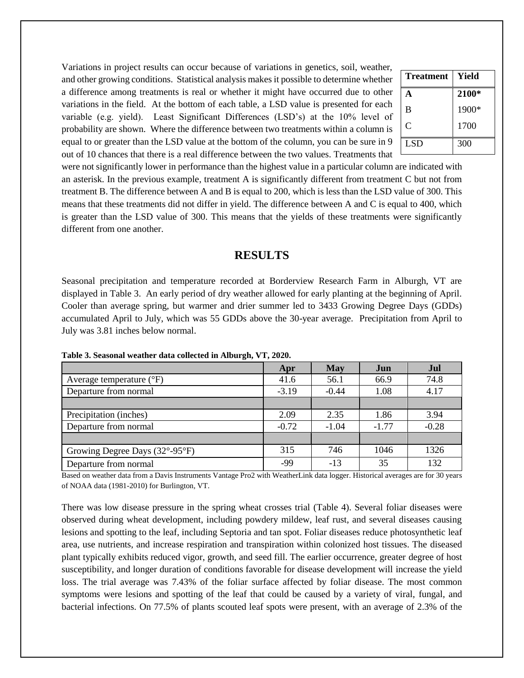Variations in project results can occur because of variations in genetics, soil, weather, and other growing conditions. Statistical analysis makes it possible to determine whether a difference among treatments is real or whether it might have occurred due to other variations in the field. At the bottom of each table, a LSD value is presented for each variable (e.g. yield). Least Significant Differences (LSD's) at the 10% level of probability are shown. Where the difference between two treatments within a column is equal to or greater than the LSD value at the bottom of the column, you can be sure in 9 out of 10 chances that there is a real difference between the two values. Treatments that

| <b>Treatment</b> | Yield |
|------------------|-------|
| A                | 2100* |
| B                | 1900* |
| $\mathcal{C}$    | 1700  |
| <b>LSD</b>       | 300   |

were not significantly lower in performance than the highest value in a particular column are indicated with an asterisk. In the previous example, treatment A is significantly different from treatment C but not from treatment B. The difference between A and B is equal to 200, which is less than the LSD value of 300. This means that these treatments did not differ in yield. The difference between A and C is equal to 400, which is greater than the LSD value of 300. This means that the yields of these treatments were significantly different from one another.

#### **RESULTS**

Seasonal precipitation and temperature recorded at Borderview Research Farm in Alburgh, VT are displayed in Table 3. An early period of dry weather allowed for early planting at the beginning of April. Cooler than average spring, but warmer and drier summer led to 3433 Growing Degree Days (GDDs) accumulated April to July, which was 55 GDDs above the 30-year average. Precipitation from April to July was 3.81 inches below normal.

|                                                     | Apr     | <b>May</b> | Jun     | Jul     |
|-----------------------------------------------------|---------|------------|---------|---------|
| Average temperature $({}^{\circ}F)$                 | 41.6    | 56.1       | 66.9    | 74.8    |
| Departure from normal                               | $-3.19$ | $-0.44$    | 1.08    | 4.17    |
|                                                     |         |            |         |         |
| Precipitation (inches)                              | 2.09    | 2.35       | 1.86    | 3.94    |
| Departure from normal                               | $-0.72$ | $-1.04$    | $-1.77$ | $-0.28$ |
|                                                     |         |            |         |         |
| Growing Degree Days $(32^{\circ}$ -95 $^{\circ}$ F) | 315     | 746        | 1046    | 1326    |
| Departure from normal                               | $-99$   | $-13$      | 35      | 132     |

 **Table 3. Seasonal weather data collected in Alburgh, VT, 2020.** 

Based on weather data from a Davis Instruments Vantage Pro2 with WeatherLink data logger. Historical averages are for 30 years of NOAA data (1981-2010) for Burlington, VT.

There was low disease pressure in the spring wheat crosses trial (Table 4). Several foliar diseases were observed during wheat development, including powdery mildew, leaf rust, and several diseases causing lesions and spotting to the leaf, including Septoria and tan spot. Foliar diseases reduce photosynthetic leaf area, use nutrients, and increase respiration and transpiration within colonized host tissues. The diseased plant typically exhibits reduced vigor, growth, and seed fill. The earlier occurrence, greater degree of host susceptibility, and longer duration of conditions favorable for disease development will increase the yield loss. The trial average was 7.43% of the foliar surface affected by foliar disease. The most common symptoms were lesions and spotting of the leaf that could be caused by a variety of viral, fungal, and bacterial infections. On 77.5% of plants scouted leaf spots were present, with an average of 2.3% of the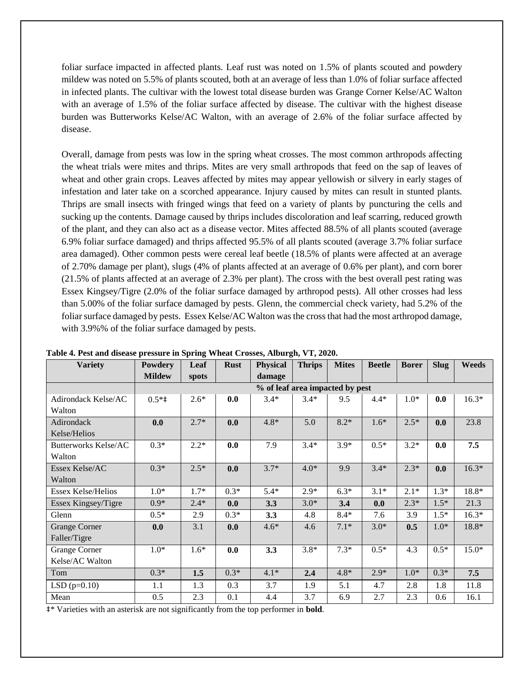foliar surface impacted in affected plants. Leaf rust was noted on 1.5% of plants scouted and powdery mildew was noted on 5.5% of plants scouted, both at an average of less than 1.0% of foliar surface affected in infected plants. The cultivar with the lowest total disease burden was Grange Corner Kelse/AC Walton with an average of 1.5% of the foliar surface affected by disease. The cultivar with the highest disease burden was Butterworks Kelse/AC Walton, with an average of 2.6% of the foliar surface affected by disease.

Overall, damage from pests was low in the spring wheat crosses. The most common arthropods affecting the wheat trials were mites and thrips. Mites are very small arthropods that feed on the sap of leaves of wheat and other grain crops. Leaves affected by mites may appear yellowish or silvery in early stages of infestation and later take on a scorched appearance. Injury caused by mites can result in stunted plants. Thrips are small insects with fringed wings that feed on a variety of plants by puncturing the cells and sucking up the contents. Damage caused by thrips includes discoloration and leaf scarring, reduced growth of the plant, and they can also act as a disease vector. Mites affected 88.5% of all plants scouted (average 6.9% foliar surface damaged) and thrips affected 95.5% of all plants scouted (average 3.7% foliar surface area damaged). Other common pests were cereal leaf beetle (18.5% of plants were affected at an average of 2.70% damage per plant), slugs (4% of plants affected at an average of 0.6% per plant), and corn borer (21.5% of plants affected at an average of 2.3% per plant). The cross with the best overall pest rating was Essex Kingsey/Tigre (2.0% of the foliar surface damaged by arthropod pests). All other crosses had less than 5.00% of the foliar surface damaged by pests. Glenn, the commercial check variety, had 5.2% of the foliar surface damaged by pests. Essex Kelse/AC Walton was the cross that had the most arthropod damage, with 3.9%% of the foliar surface damaged by pests.

| <b>Variety</b>            | Powdery                         | Leaf   | <b>Rust</b> | <b>Physical</b> | <b>Thrips</b> | <b>Mites</b> | <b>Beetle</b> | <b>Borer</b> | <b>Slug</b> | <b>Weeds</b> |
|---------------------------|---------------------------------|--------|-------------|-----------------|---------------|--------------|---------------|--------------|-------------|--------------|
|                           | <b>Mildew</b>                   | spots  |             | damage          |               |              |               |              |             |              |
|                           | % of leaf area impacted by pest |        |             |                 |               |              |               |              |             |              |
| Adirondack Kelse/AC       | $0.5*$ ‡                        | $2.6*$ | 0.0         | $3.4*$          | $3.4*$        | 9.5          | $4.4*$        | $1.0*$       | 0.0         | $16.3*$      |
| Walton                    |                                 |        |             |                 |               |              |               |              |             |              |
| Adirondack                | 0.0                             | $2.7*$ | 0.0         | $4.8*$          | 5.0           | $8.2*$       | $1.6*$        | $2.5*$       | 0.0         | 23.8         |
| Kelse/Helios              |                                 |        |             |                 |               |              |               |              |             |              |
| Butterworks Kelse/AC      | $0.3*$                          | $2.2*$ | 0.0         | 7.9             | $3.4*$        | $3.9*$       | $0.5*$        | $3.2*$       | 0.0         | 7.5          |
| Walton                    |                                 |        |             |                 |               |              |               |              |             |              |
| Essex Kelse/AC            | $0.3*$                          | $2.5*$ | 0.0         | $3.7*$          | $4.0*$        | 9.9          | $3.4*$        | $2.3*$       | 0.0         | $16.3*$      |
| Walton                    |                                 |        |             |                 |               |              |               |              |             |              |
| <b>Essex Kelse/Helios</b> | $1.0*$                          | $1.7*$ | $0.3*$      | $5.4*$          | $2.9*$        | $6.3*$       | $3.1*$        | $2.1*$       | $1.3*$      | 18.8*        |
| Essex Kingsey/Tigre       | $0.9*$                          | $2.4*$ | 0.0         | 3.3             | $3.0*$        | 3.4          | 0.0           | $2.3*$       | $1.5*$      | 21.3         |
| Glenn                     | $0.5*$                          | 2.9    | $0.3*$      | 3.3             | 4.8           | $8.4*$       | 7.6           | 3.9          | $1.5*$      | $16.3*$      |
| <b>Grange Corner</b>      | 0.0                             | 3.1    | 0.0         | $4.6*$          | 4.6           | $7.1*$       | $3.0*$        | 0.5          | $1.0*$      | 18.8*        |
| Faller/Tigre              |                                 |        |             |                 |               |              |               |              |             |              |
| Grange Corner             | $1.0*$                          | $1.6*$ | 0.0         | 3.3             | $3.8*$        | $7.3*$       | $0.5*$        | 4.3          | $0.5*$      | $15.0*$      |
| Kelse/AC Walton           |                                 |        |             |                 |               |              |               |              |             |              |
| Tom                       | $0.3*$                          | 1.5    | $0.3*$      | $4.1*$          | 2.4           | $4.8*$       | $2.9*$        | $1.0*$       | $0.3*$      | 7.5          |
| $LSD$ (p=0.10)            | 1.1                             | 1.3    | 0.3         | 3.7             | 1.9           | 5.1          | 4.7           | 2.8          | 1.8         | 11.8         |
| Mean                      | 0.5                             | 2.3    | 0.1         | 4.4             | 3.7           | 6.9          | 2.7           | 2.3          | 0.6         | 16.1         |

**Table 4. Pest and disease pressure in Spring Wheat Crosses, Alburgh, VT, 2020.**

‡\* Varieties with an asterisk are not significantly from the top performer in **bold**.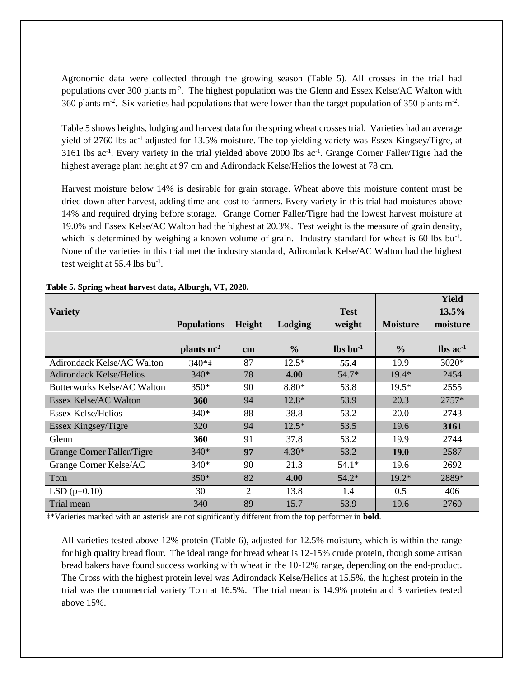Agronomic data were collected through the growing season (Table 5). All crosses in the trial had populations over 300 plants m<sup>-2</sup>. The highest population was the Glenn and Essex Kelse/AC Walton with 360 plants  $m<sup>2</sup>$ . Six varieties had populations that were lower than the target population of 350 plants  $m<sup>2</sup>$ .

Table 5 shows heights, lodging and harvest data for the spring wheat crosses trial. Varieties had an average yield of 2760 lbs ac<sup>-1</sup> adjusted for 13.5% moisture. The top yielding variety was Essex Kingsey/Tigre, at 3161 lbs ac<sup>-1</sup>. Every variety in the trial yielded above 2000 lbs ac<sup>-1</sup>. Grange Corner Faller/Tigre had the highest average plant height at 97 cm and Adirondack Kelse/Helios the lowest at 78 cm.

Harvest moisture below 14% is desirable for grain storage. Wheat above this moisture content must be dried down after harvest, adding time and cost to farmers. Every variety in this trial had moistures above 14% and required drying before storage. Grange Corner Faller/Tigre had the lowest harvest moisture at 19.0% and Essex Kelse/AC Walton had the highest at 20.3%. Test weight is the measure of grain density, which is determined by weighing a known volume of grain. Industry standard for wheat is 60 lbs bu<sup>-1</sup>. None of the varieties in this trial met the industry standard, Adirondack Kelse/AC Walton had the highest test weight at  $55.4$  lbs bu<sup>-1</sup>.

| <b>Variety</b>                     | <b>Populations</b> | Height         | Lodging       | <b>Test</b><br>weight          | <b>Moisture</b> | Yield<br>13.5%<br>moisture    |
|------------------------------------|--------------------|----------------|---------------|--------------------------------|-----------------|-------------------------------|
|                                    | plants $m2$        | cm             | $\frac{0}{0}$ | $\mathbf{lbs}\mathbf{bu}^{-1}$ | $\frac{0}{0}$   | $\text{lbs}$ ac <sup>-1</sup> |
| Adirondack Kelse/AC Walton         | $340*$             | 87             | $12.5*$       | 55.4                           | 19.9            | 3020*                         |
| <b>Adirondack Kelse/Helios</b>     | $340*$             | 78             | 4.00          | $54.7*$                        | $19.4*$         | 2454                          |
| <b>Butterworks Kelse/AC Walton</b> | $350*$             | 90             | $8.80*$       | 53.8                           | $19.5*$         | 2555                          |
| Essex Kelse/AC Walton              | 360                | 94             | 12.8*         | 53.9                           | 20.3            | $2757*$                       |
| Essex Kelse/Helios                 | $340*$             | 88             | 38.8          | 53.2                           | 20.0            | 2743                          |
| Essex Kingsey/Tigre                | 320                | 94             | $12.5*$       | 53.5                           | 19.6            | 3161                          |
| Glenn                              | 360                | 91             | 37.8          | 53.2                           | 19.9            | 2744                          |
| Grange Corner Faller/Tigre         | $340*$             | 97             | $4.30*$       | 53.2                           | <b>19.0</b>     | 2587                          |
| Grange Corner Kelse/AC             | 340*               | 90             | 21.3          | $54.1*$                        | 19.6            | 2692                          |
| Tom                                | $350*$             | 82             | 4.00          | $54.2*$                        | $19.2*$         | 2889*                         |
| $LSD(p=0.10)$                      | 30                 | $\overline{2}$ | 13.8          | 1.4                            | 0.5             | 406                           |
| Trial mean                         | 340                | 89             | 15.7          | 53.9                           | 19.6            | 2760                          |

**Table 5. Spring wheat harvest data, Alburgh, VT, 2020.** 

‡\*Varieties marked with an asterisk are not significantly different from the top performer in **bold**.

All varieties tested above 12% protein (Table 6), adjusted for 12.5% moisture, which is within the range for high quality bread flour. The ideal range for bread wheat is 12-15% crude protein, though some artisan bread bakers have found success working with wheat in the 10-12% range, depending on the end-product. The Cross with the highest protein level was Adirondack Kelse/Helios at 15.5%, the highest protein in the trial was the commercial variety Tom at 16.5%. The trial mean is 14.9% protein and 3 varieties tested above 15%.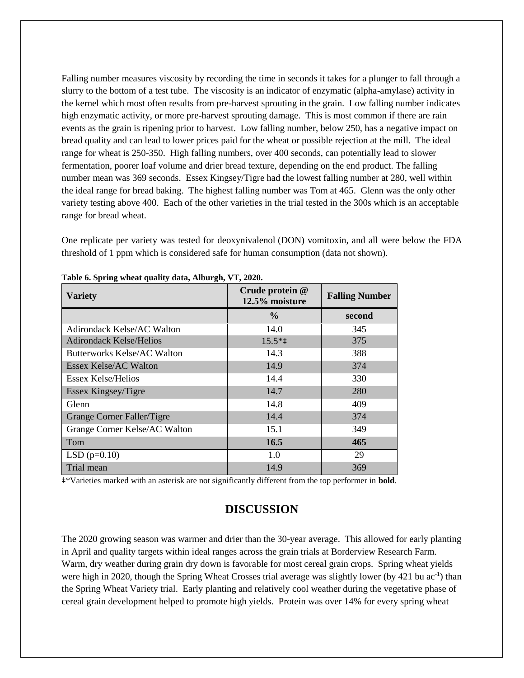Falling number measures viscosity by recording the time in seconds it takes for a plunger to fall through a slurry to the bottom of a test tube. The viscosity is an indicator of enzymatic (alpha-amylase) activity in the kernel which most often results from pre-harvest sprouting in the grain. Low falling number indicates high enzymatic activity, or more pre-harvest sprouting damage. This is most common if there are rain events as the grain is ripening prior to harvest. Low falling number, below 250, has a negative impact on bread quality and can lead to lower prices paid for the wheat or possible rejection at the mill. The ideal range for wheat is 250-350. High falling numbers, over 400 seconds, can potentially lead to slower fermentation, poorer loaf volume and drier bread texture, depending on the end product. The falling number mean was 369 seconds. Essex Kingsey/Tigre had the lowest falling number at 280, well within the ideal range for bread baking. The highest falling number was Tom at 465. Glenn was the only other variety testing above 400. Each of the other varieties in the trial tested in the 300s which is an acceptable range for bread wheat.

One replicate per variety was tested for deoxynivalenol (DON) vomitoxin, and all were below the FDA threshold of 1 ppm which is considered safe for human consumption (data not shown).

| <b>Variety</b>                    | Crude protein @<br>12.5% moisture | <b>Falling Number</b> |  |
|-----------------------------------|-----------------------------------|-----------------------|--|
|                                   | $\frac{0}{0}$                     | second                |  |
| <b>Adirondack Kelse/AC Walton</b> | 14.0                              | 345                   |  |
| <b>Adirondack Kelse/Helios</b>    | $15.5**$                          | 375                   |  |
| Butterworks Kelse/AC Walton       | 14.3                              | 388                   |  |
| <b>Essex Kelse/AC Walton</b>      | 14.9                              | 374                   |  |
| Essex Kelse/Helios                | 14.4                              | 330                   |  |
| Essex Kingsey/Tigre               | 14.7                              | 280                   |  |
| Glenn                             | 14.8                              | 409                   |  |
| Grange Corner Faller/Tigre        | 14.4                              | 374                   |  |
| Grange Corner Kelse/AC Walton     | 15.1                              | 349                   |  |
| Tom                               | 16.5                              | 465                   |  |
| $LSD(p=0.10)$                     | 1.0                               | 29                    |  |
| Trial mean                        | 14.9                              | 369                   |  |

**Table 6. Spring wheat quality data, Alburgh, VT, 2020.**

‡\*Varieties marked with an asterisk are not significantly different from the top performer in **bold**.

#### **DISCUSSION**

The 2020 growing season was warmer and drier than the 30-year average. This allowed for early planting in April and quality targets within ideal ranges across the grain trials at Borderview Research Farm. Warm, dry weather during grain dry down is favorable for most cereal grain crops. Spring wheat yields were high in 2020, though the Spring Wheat Crosses trial average was slightly lower (by 421 bu ac<sup>-1</sup>) than the Spring Wheat Variety trial. Early planting and relatively cool weather during the vegetative phase of cereal grain development helped to promote high yields. Protein was over 14% for every spring wheat